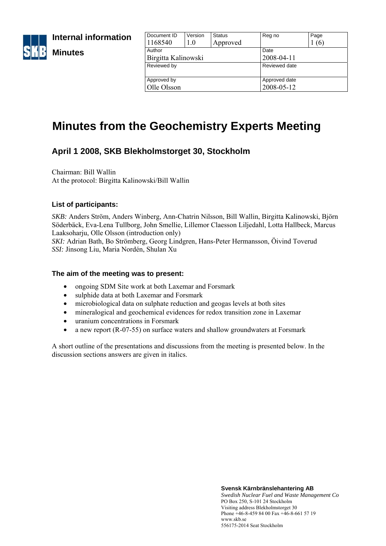

**Internal information** 

# **Minutes**

| Document ID         | Version | <b>Status</b> | Reg no        | Page |
|---------------------|---------|---------------|---------------|------|
| 1168540             | 1.0     | Approved      |               | (6)  |
| Author              |         |               | Date          |      |
| Birgitta Kalinowski |         |               | 2008-04-11    |      |
| Reviewed by         |         |               | Reviewed date |      |
|                     |         |               |               |      |
| Approved by         |         |               | Approved date |      |
| Olle Olsson         |         |               | 2008-05-12    |      |
|                     |         |               |               |      |

# **Minutes from the Geochemistry Experts Meeting**

# **April 1 2008, SKB Blekholmstorget 30, Stockholm**

Chairman: Bill Wallin At the protocol: Birgitta Kalinowski/Bill Wallin

## **List of participants:**

*SKB:* Anders Ström, Anders Winberg, Ann-Chatrin Nilsson, Bill Wallin, Birgitta Kalinowski, Björn Söderbäck, Eva-Lena Tullborg, John Smellie, Lillemor Claesson Liljedahl, Lotta Hallbeck, Marcus Laaksoharju, Olle Olsson (introduction only)

*SKI:* Adrian Bath, Bo Strömberg, Georg Lindgren, Hans-Peter Hermansson, Öivind Toverud *SSI:* Jinsong Liu, Maria Nordén, Shulan Xu

#### **The aim of the meeting was to present:**

- ongoing SDM Site work at both Laxemar and Forsmark
- sulphide data at both Laxemar and Forsmark
- microbiological data on sulphate reduction and geogas levels at both sites
- mineralogical and geochemical evidences for redox transition zone in Laxemar
- uranium concentrations in Forsmark
- a new report (R-07-55) on surface waters and shallow groundwaters at Forsmark

A short outline of the presentations and discussions from the meeting is presented below. In the discussion sections answers are given in italics.

> **Svensk Kärnbränslehantering AB**  *Swedish Nuclear Fuel and Waste Management Co* PO Box 250, S-101 24 Stockholm Visiting address Blekholmstorget 30 Phone +46-8-459 84 00 Fax +46-8-661 57 19 www.skb.se 556175-2014 Seat Stockholm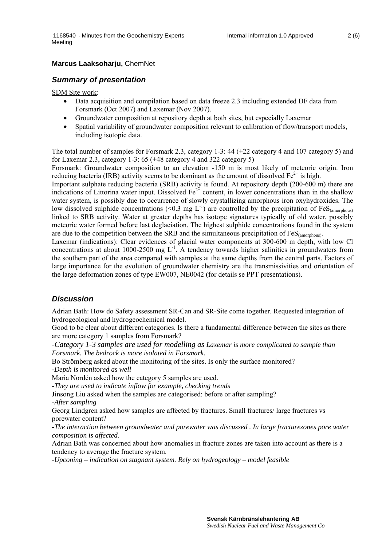#### **Marcus Laaksoharju,** ChemNet

#### *Summary of presentation*

SDM Site work:

- Data acquisition and compilation based on data freeze 2.3 including extended DF data from Forsmark (Oct 2007) and Laxemar (Nov 2007).
- Groundwater composition at repository depth at both sites, but especially Laxemar
- Spatial variability of groundwater composition relevant to calibration of flow/transport models, including isotopic data.

The total number of samples for Forsmark 2.3, category 1-3: 44 (+22 category 4 and 107 category 5) and for Laxemar 2.3, category 1-3: 65 (+48 category 4 and 322 category 5)

Forsmark: Groundwater composition to an elevation -150 m is most likely of meteoric origin. Iron reducing bacteria (IRB) activity seems to be dominant as the amount of dissolved  $Fe^{2+}$  is high.

Important sulphate reducing bacteria (SRB) activity is found. At repository depth (200-600 m) there are indications of Littorina water input. Dissolved  $Fe^{2+}$  content, in lower concentrations than in the shallow water system, is possibly due to occurrence of slowly crystallizing amorphous iron oxyhydroxides. The low dissolved sulphide concentrations (<0.3 mg L<sup>-1</sup>) are controlled by the precipitation of FeS<sub>(amorphous)</sub> linked to SRB activity. Water at greater depths has isotope signatures typically of old water, possibly meteoric water formed before last deglaciation. The highest sulphide concentrations found in the system are due to the competition between the SRB and the simultaneous precipitation of  $FeS<sub>(amorphous)</sub>$ .

Laxemar (indications): Clear evidences of glacial water components at 300-600 m depth, with low Cl concentrations at about 1000-2500 mg  $L^{-1}$ . A tendency towards higher salinities in groundwaters from the southern part of the area compared with samples at the same depths from the central parts. Factors of large importance for the evolution of groundwater chemistry are the transmissivities and orientation of the large deformation zones of type EW007, NE0042 (for details se PPT presentations).

#### *Discussion*

Adrian Bath: How do Safety assessment SR-Can and SR-Site come together. Requested integration of hydrogeological and hydrogeochemical model.

Good to be clear about different categories. Is there a fundamental difference between the sites as there are more category 1 samples from Forsmark?

*-Category 1-3 samples are used for modelling as Laxemar is more complicated to sample than Forsmark. The bedrock is more isolated in Forsmark.* 

Bo Strömberg asked about the monitoring of the sites. Is only the surface monitored? *-Depth is monitored as well* 

Maria Nordén asked how the category 5 samples are used.

-*They are used to indicate inflow for example, checking trends* 

Jinsong Liu asked when the samples are categorised: before or after sampling? -*After sampling* 

Georg Lindgren asked how samples are affected by fractures. Small fractures/ large fractures vs porewater content?

*-The interaction between groundwater and porewater was discussed . In large fracturezones pore water composition is affected.* 

Adrian Bath was concerned about how anomalies in fracture zones are taken into account as there is a tendency to average the fracture system.

*-Upconing – indication on stagnant system. Rely on hydrogeology – model feasible*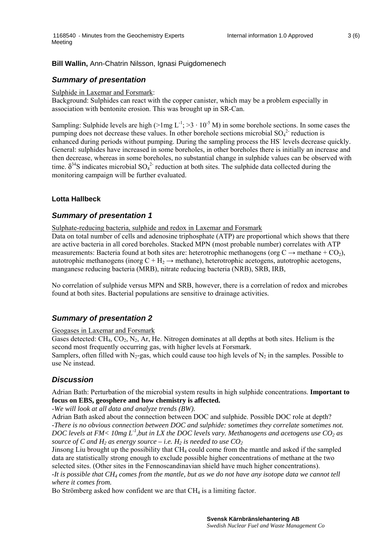#### **Bill Wallin,** Ann-Chatrin Nilsson, Ignasi Puigdomenech

#### *Summary of presentation*

#### Sulphide in Laxemar and Forsmark:

Background: Sulphides can react with the copper canister, which may be a problem especially in association with bentonite erosion. This was brought up in SR-Can.

Sampling: Sulphide levels are high ( $>1$ mg L<sup>-1</sup>;  $>3 \cdot 10^{-5}$  M) in some borehole sections. In some cases the pumping does not decrease these values. In other borehole sections microbial  $SO_4^2$  reduction is enhanced during periods without pumping. During the sampling process the HS<sup>-</sup> levels decrease quickly. General: sulphides have increased in some boreholes, in other boreholes there is initially an increase and then decrease, whereas in some boreholes, no substantial change in sulphide values can be observed with time.  $\delta^{34}$ S indicates microbial SO<sub>4</sub><sup>2</sup> reduction at both sites. The sulphide data collected during the monitoring campaign will be further evaluated.

#### **Lotta Hallbeck**

#### *Summary of presentation 1*

Sulphate-reducing bacteria, sulphide and redox in Laxemar and Forsmark

Data on total number of cells and adenosine triphosphate (ATP) are proportional which shows that there are active bacteria in all cored boreholes. Stacked MPN (most probable number) correlates with ATP measurements: Bacteria found at both sites are: heterotrophic methanogens (org  $C \rightarrow$  methane + CO<sub>2</sub>), autotrophic methanogens (inorg  $C + H_2 \rightarrow$  methane), heterotrophic acetogens, autotrophic acetogens, manganese reducing bacteria (MRB), nitrate reducing bacteria (NRB), SRB, IRB,

No correlation of sulphide versus MPN and SRB, however, there is a correlation of redox and microbes found at both sites. Bacterial populations are sensitive to drainage activities.

#### *Summary of presentation 2*

Geogases in Laxemar and Forsmark

Gases detected:  $CH_4$ ,  $CO_2$ ,  $N_2$ , Ar, He. Nitrogen dominates at all depths at both sites. Helium is the second most frequently occurring gas, with higher levels at Forsmark. Samplers, often filled with N<sub>2</sub>-gas, which could cause too high levels of N<sub>2</sub> in the samples. Possible to use Ne instead.

# *Discussion*

Adrian Bath: Perturbation of the microbial system results in high sulphide concentrations. **Important to focus on EBS, geosphere and how chemistry is affected.** 

*-We will look at all data and analyze trends (BW).* 

Adrian Bath asked about the connection between DOC and sulphide. Possible DOC role at depth? *-There is no obvious connection between DOC and sulphide: sometimes they correlate sometimes not. DOC levels at FM< 10mg L<sup>-1</sup>, but in LX the DOC levels vary. Methanogens and acetogens use CO<sub>2</sub> as source of C and H<sub>2</sub> as energy source – i.e. H<sub>2</sub> is needed to use*  $CO<sub>2</sub>$ 

Jinsong Liu brought up the possibility that  $CH_4$  could come from the mantle and asked if the sampled data are statistically strong enough to exclude possible higher concentrations of methane at the two selected sites. (Other sites in the Fennoscandinavian shield have much higher concentrations). *-It is possible that CH4 comes from the mantle, but as we do not have any isotope data we cannot tell* 

#### *where it comes from.*

Bo Strömberg asked how confident we are that  $CH<sub>4</sub>$  is a limiting factor.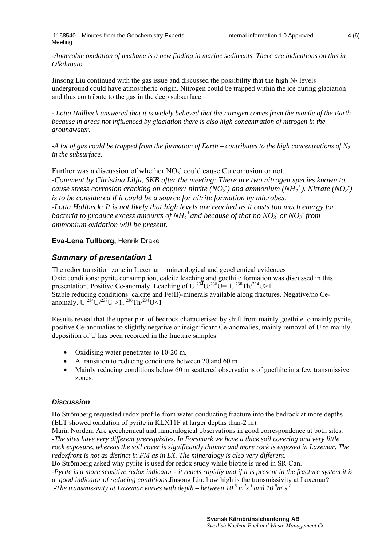*-Anaerobic oxidation of methane is a new finding in marine sediments. There are indications on this in Olkiluouto.* 

Jinsong Liu continued with the gas issue and discussed the possibility that the high  $N_2$  levels underground could have atmospheric origin. Nitrogen could be trapped within the ice during glaciation and thus contribute to the gas in the deep subsurface.

*- Lotta Hallbeck answered that it is widely believed that the nitrogen comes from the mantle of the Earth because in areas not influenced by glaciation there is also high concentration of nitrogen in the groundwater.* 

*-A lot of gas could be trapped from the formation of Earth – contributes to the high concentrations of N2 in the subsurface.* 

Further was a discussion of whether  $NO<sub>3</sub>$  could cause Cu corrosion or not. *-Comment by Christina Lilja, SKB after the meeting: There are two nitrogen species known to cause stress corrosion cracking on copper: nitrite (NO<sub>2</sub>) and ammonium (NH<sub>4</sub><sup>+</sup>). Nitrate (NO<sub>3</sub>) is to be considered if it could be a source for nitrite formation by microbes. -Lotta Hallbeck: It is not likely that high levels are reached as it costs too much energy for bacteria to produce excess amounts of NH<sub>4</sub><sup>+</sup> and because of that no NO<sub>3</sub> or NO<sub>2</sub> from ammonium oxidation will be present.*

## **Eva-Lena Tullborg,** Henrik Drake

# *Summary of presentation 1*

The redox transition zone in Laxemar – mineralogical and geochemical evidences Oxic conditions: pyrite consumption, calcite leaching and goethite formation was discussed in this presentation. Positive Ce-anomaly. Leaching of U<sup>234</sup>U/<sup>238</sup>U= 1, <sup>230</sup>Th/<sup>234</sup>U>1 Stable reducing conditions: calcite and Fe(II)-minerals available along fractures. Negative/no Ceanomaly. U  $^{234}$ U/ $^{238}$ U >1,  $^{230}$ Th/ $^{234}$ U <1

Results reveal that the upper part of bedrock characterised by shift from mainly goethite to mainly pyrite, positive Ce-anomalies to slightly negative or insignificant Ce-anomalies, mainly removal of U to mainly deposition of U has been recorded in the fracture samples.

- Oxidising water penetrates to 10-20 m.
- A transition to reducing conditions between 20 and 60 m
- Mainly reducing conditions below 60 m scattered observations of goethite in a few transmissive zones.

#### *Discussion*

Bo Strömberg requested redox profile from water conducting fracture into the bedrock at more depths (ELT showed oxidation of pyrite in KLX11F at larger depths than-2 m).

Maria Nordén: Are geochemical and mineralogical observations in good correspondence at both sites. *-The sites have very different prerequisites. In Forsmark we have a thick soil covering and very little rock exposure, whereas the soil cover is significantly thinner and more rock is exposed in Laxemar. The redoxfront is not as distinct in FM as in LX. The mineralogy is also very different.* 

Bo Strömberg asked why pyrite is used for redox study while biotite is used in SR-Can.

*-Pyrite is a more sensitive redox indicator - it reacts rapidly and if it is present in the fracture system it is a good indicator of reducing conditions.*Jinsong Liu: how high is the transmissivity at Laxemar?

*-The transmissivity at Laxemar varies with depth – between*  $10^6$  $m^2 s^1$  *and*  $10^9 m^2 s^1$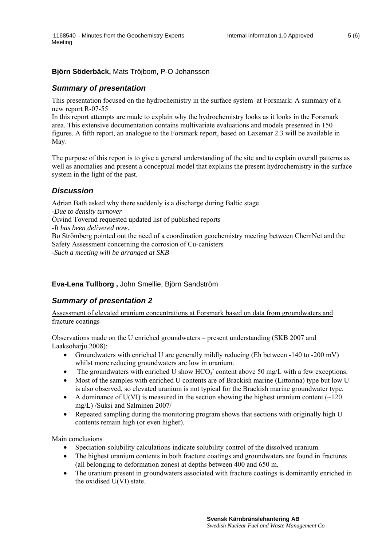#### **Björn Söderbäck,** Mats Tröjbom, P-O Johansson

#### *Summary of presentation*

This presentation focused on the hydrochemistry in the surface system at Forsmark: A summary of a new report R-07-55

In this report attempts are made to explain why the hydrochemistry looks as it looks in the Forsmark area. This extensive documentation contains multivariate evaluations and models presented in 150 figures. A fifth report, an analogue to the Forsmark report, based on Laxemar 2.3 will be available in May.

The purpose of this report is to give a general understanding of the site and to explain overall patterns as well as anomalies and present a conceptual model that explains the present hydrochemistry in the surface system in the light of the past.

#### *Discussion*

Adrian Bath asked why there suddenly is a discharge during Baltic stage *-Due to density turnover* Öivind Toverud requested updated list of published reports *-It has been delivered now.* Bo Strömberg pointed out the need of a coordination geochemistry meeting between ChemNet and the Safety Assessment concerning the corrosion of Cu-canisters *-Such a meeting will be arranged at SKB* 

#### **Eva-Lena Tullborg ,** John Smellie, Björn Sandström

#### *Summary of presentation 2*

Assessment of elevated uranium concentrations at Forsmark based on data from groundwaters and fracture coatings

Observations made on the U enriched groundwaters – present understanding (SKB 2007 and Laaksoharju 2008):

- Groundwaters with enriched U are generally mildly reducing (Eh between -140 to -200 mV) whilst more reducing groundwaters are low in uranium.
- The groundwaters with enriched U show  $HCO<sub>3</sub>$  content above 50 mg/L with a few exceptions.
- Most of the samples with enriched U contents are of Brackish marine (Littorina) type but low U is also observed, so elevated uranium is not typical for the Brackish marine groundwater type.
- A dominance of U(VI) is measured in the section showing the highest uranium content  $\sim$ 120 mg/L) /Suksi and Salminen 2007/
- Repeated sampling during the monitoring program shows that sections with originally high U contents remain high (or even higher).

Main conclusions

- Speciation-solubility calculations indicate solubility control of the dissolved uranium.
- The highest uranium contents in both fracture coatings and groundwaters are found in fractures (all belonging to deformation zones) at depths between 400 and 650 m.
- The uranium present in groundwaters associated with fracture coatings is dominantly enriched in the oxidised U(VI) state.